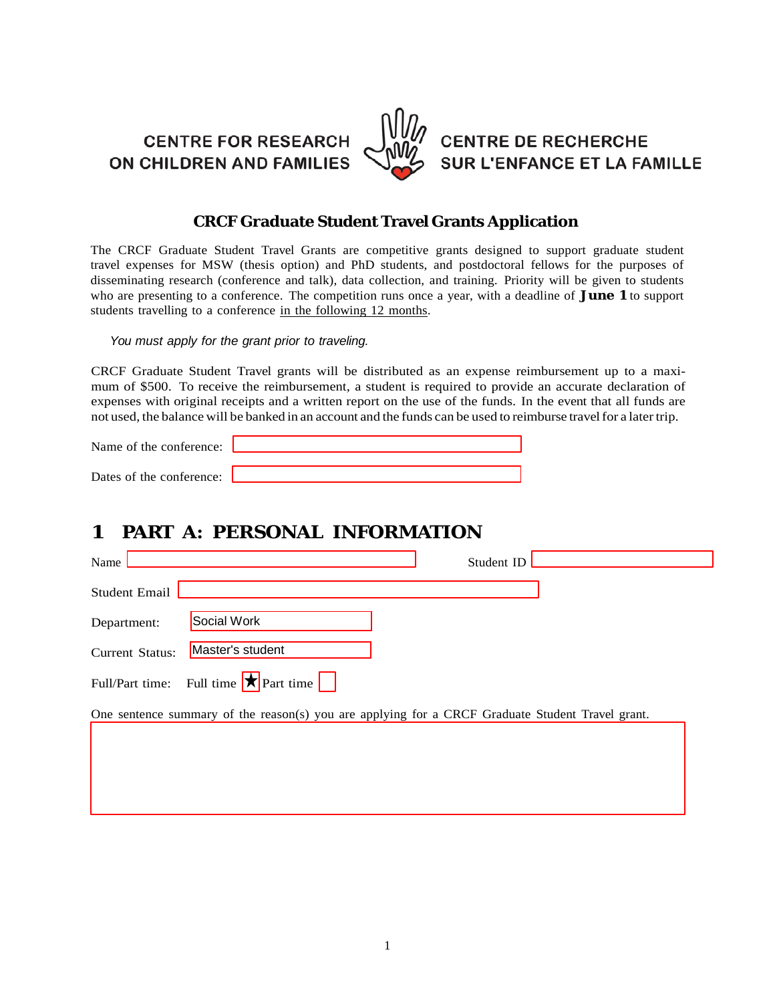**CENTRE FOR RESEARCH** ON CHILDREN AND FAMILIES



**CENTRE DE RECHERCHE SUR L'ENFANCE ET LA FAMILLE** 

### **CRCF Graduate Student Travel Grants Application**

The CRCF Graduate Student Travel Grants are competitive grants designed to support graduate student travel expenses for MSW (thesis option) and PhD students, and postdoctoral fellows for the purposes of disseminating research (conference and talk), data collection, and training. Priority will be given to students who are presenting to a conference. The competition runs once a year, with a deadline of **June 1** to support students travelling to a conference in the following 12 months.

*You must apply for the grant prior to traveling.*

CRCF Graduate Student Travel grants will be distributed as an expense reimbursement up to a maximum of \$500. To receive the reimbursement, a student is required to provide an accurate declaration of expenses with original receipts and a written report on the use of the funds. In the event that all funds are not used, the balance will be banked in an account and the funds can be used to reimburse travelfor a latertrip.

| Name of the conference:  |  |
|--------------------------|--|
| Dates of the conference: |  |
|                          |  |

## **1 PART A: PERSONAL INFORMATION**

| Name                   | Student ID                                                                                       |
|------------------------|--------------------------------------------------------------------------------------------------|
| <b>Student Email</b>   |                                                                                                  |
| Department:            | Social Work                                                                                      |
| <b>Current Status:</b> | Master's student                                                                                 |
|                        | Full/Part time: Full time $\star$ Part time                                                      |
|                        | One sentence summary of the reason(s) you are applying for a CRCF Graduate Student Travel grant. |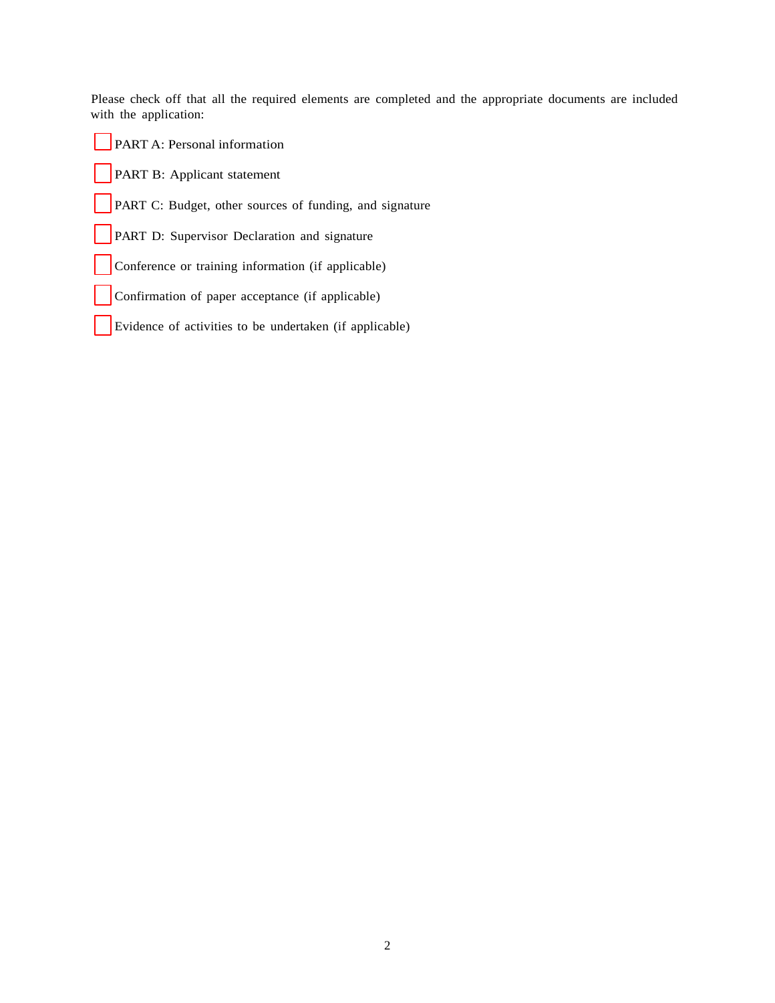Please check off that all the required elements are completed and the appropriate documents are included with the application:

| <b>PART B:</b> Applicant statement<br>PART C: Budget, other sources of funding, and signature<br>PART D: Supervisor Declaration and signature<br>Conference or training information (if applicable)<br>Confirmation of paper acceptance (if applicable)<br>Evidence of activities to be undertaken (if applicable) | <b>PART A: Personal information</b> |
|--------------------------------------------------------------------------------------------------------------------------------------------------------------------------------------------------------------------------------------------------------------------------------------------------------------------|-------------------------------------|
|                                                                                                                                                                                                                                                                                                                    |                                     |
|                                                                                                                                                                                                                                                                                                                    |                                     |
|                                                                                                                                                                                                                                                                                                                    |                                     |
|                                                                                                                                                                                                                                                                                                                    |                                     |
|                                                                                                                                                                                                                                                                                                                    |                                     |
|                                                                                                                                                                                                                                                                                                                    |                                     |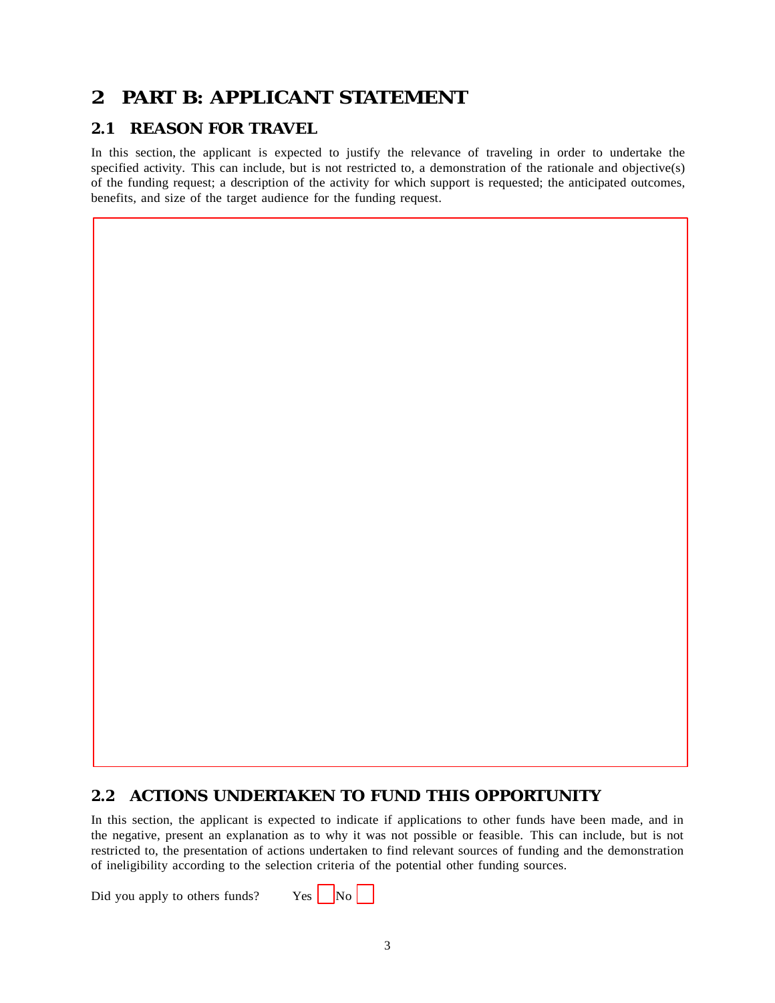## **2 PART B: APPLICANT STATEMENT**

### **2.1 REASON FOR TRAVEL**

In this section, the applicant is expected to justify the relevance of traveling in order to undertake the specified activity. This can include, but is not restricted to, a demonstration of the rationale and objective(s) of the funding request; a description of the activity for which support is requested; the anticipated outcomes, benefits, and size of the target audience for the funding request.

#### **2.2 ACTIONS UNDERTAKEN TO FUND THIS OPPORTUNITY**

In this section, the applicant is expected to indicate if applications to other funds have been made, and in the negative, present an explanation as to why it was not possible or feasible. This can include, but is not restricted to, the presentation of actions undertaken to find relevant sources of funding and the demonstration of ineligibility according to the selection criteria of the potential other funding sources.

Did you apply to others funds? Yes  $N_o$ 

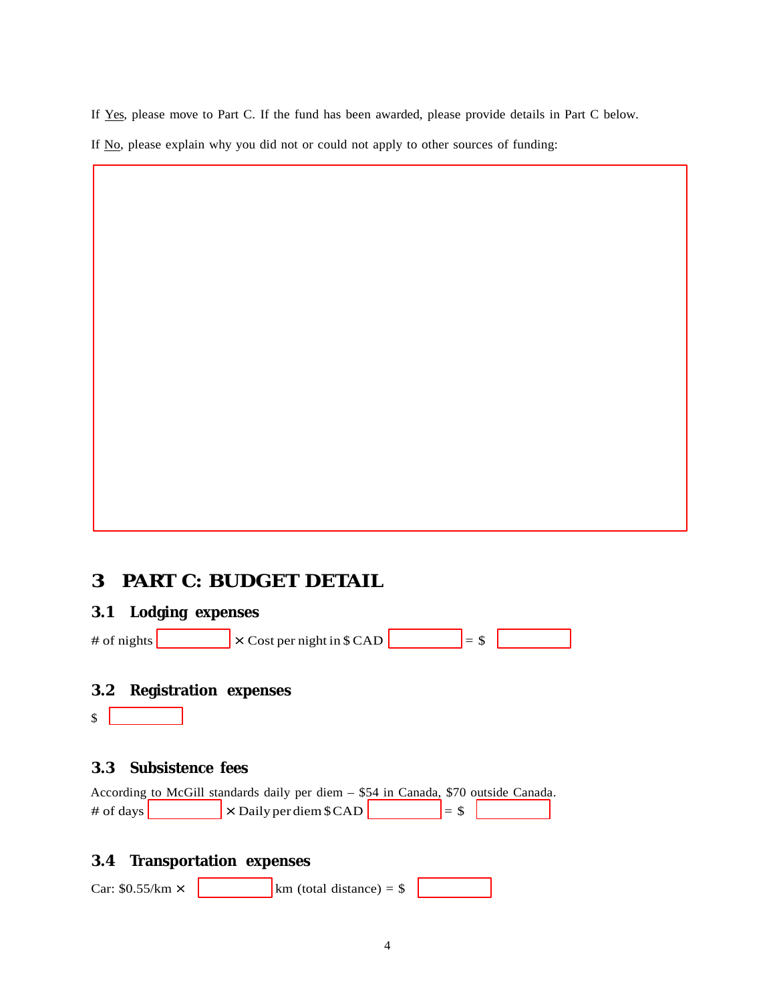- If Yes, please move to Part C. If the fund has been awarded, please provide details in Part C below.
- If No, please explain why you did not or could not apply to other sources of funding:

# **3 PART C: BUDGET DETAIL**

## **3.1 Lodging expenses**

| $\times$ Cost per night in \$ CAD<br># of nights |  |  |  |
|--------------------------------------------------|--|--|--|
|--------------------------------------------------|--|--|--|

## **3.2 Registration expenses**

 $\int$ 

## **3.3 Subsistence fees**

|                   | According to McGill standards daily per diem – \$54 in Canada, \$70 outside Canada. |  |          |  |
|-------------------|-------------------------------------------------------------------------------------|--|----------|--|
| # of days $\vert$ | $\vert \times$ Daily per diem \$ CAD $\vert \cdot \vert$                            |  | $I =$ \$ |  |

## **3.4 Transportation expenses**

| Car: $$0.55/km \times$ |  | $km$ (total distance) = \$ |  |  |
|------------------------|--|----------------------------|--|--|
|------------------------|--|----------------------------|--|--|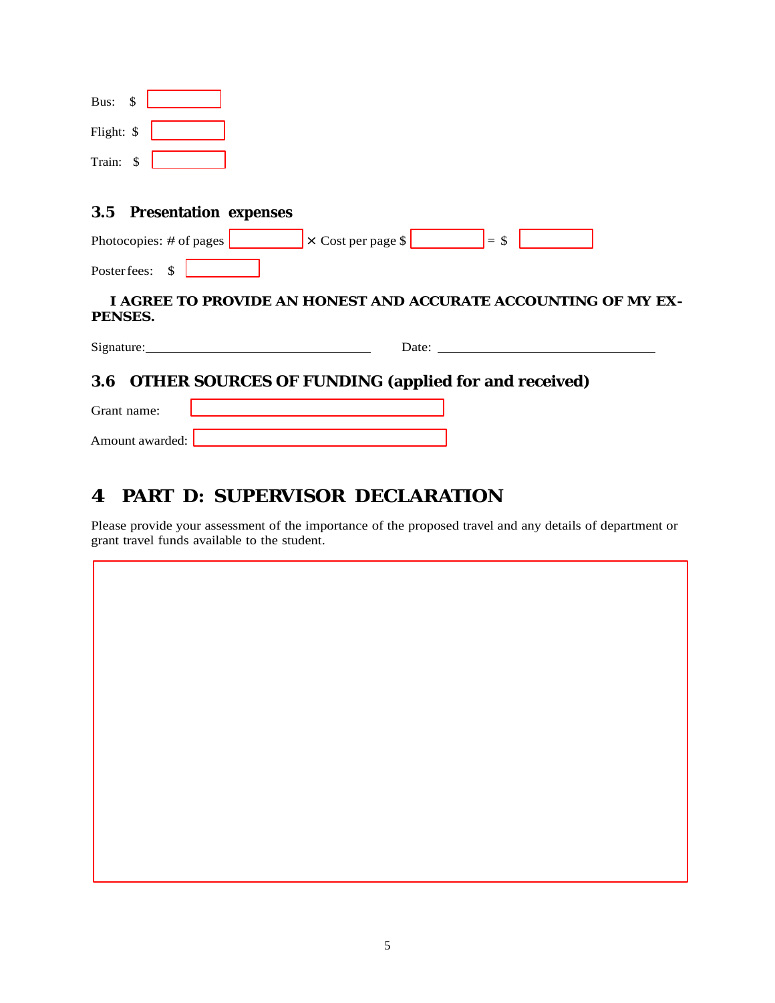|            | 3.5 Presentation expenses |  |  |
|------------|---------------------------|--|--|
| Train: \$  |                           |  |  |
| Flight: \$ |                           |  |  |
| Bus:       | - \$                      |  |  |

| Photocopies: $\#$ of pages | $\vert \times$ Cost per page \$ | $' = 3$ |  |
|----------------------------|---------------------------------|---------|--|
| Poster fees:               |                                 |         |  |

#### **I AGREE TO PROVIDE AN HONEST AND ACCURATE ACCOUNTING OF MY EX-PENSES.**

| $\sim$<br>------<br>Signature: | )ate<br>$\sim$ 0.00 |
|--------------------------------|---------------------|
|                                |                     |

## **3.6 OTHER SOURCES OF FUNDING (applied for and received)**

| Grant name:       |  |
|-------------------|--|
| Amount awarded: [ |  |

# **4 PART D: SUPERVISOR DECLARATION**

Please provide your assessment of the importance of the proposed travel and any details of department or grant travel funds available to the student.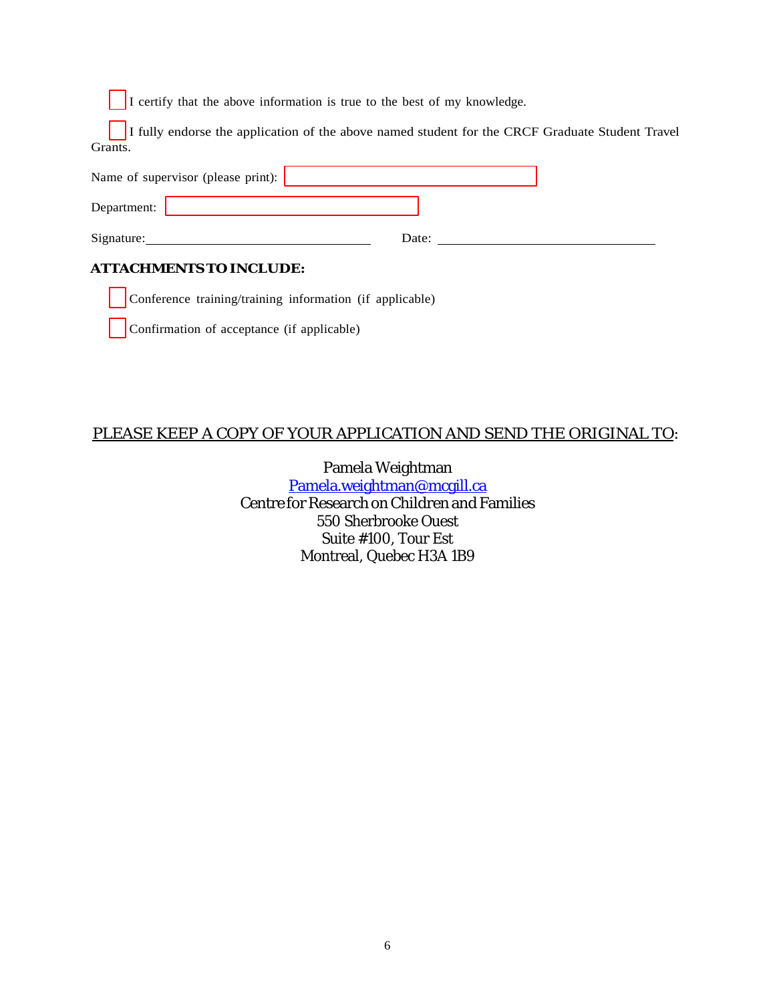I certify that the above information is true to the best of my knowledge.

I fully endorse the application of the above named student for the CRCF Graduate Student Travel Grants.

| Name of supervisor (please print): $\vert$ |       |  |  |
|--------------------------------------------|-------|--|--|
| Department:                                |       |  |  |
| Signature:                                 | Date: |  |  |
| <b>ATTACHMENTS TO INCLUDE:</b>             |       |  |  |

Conference training/training information (if applicable)

|  | Confirmation of acceptance (if applicable) |
|--|--------------------------------------------|
|  |                                            |

## PLEASE KEEP A COPY OF YOUR APPLICATION AND SEND THE ORIGINAL TO:

Pamela Weightman [Pamela.weightman@mcgill.ca](mailto:Pamela.weightman@mcgill.ca) Centre for Research on Children and Families 550 Sherbrooke Ouest Suite #100, Tour Est Montreal, Quebec H3A 1B9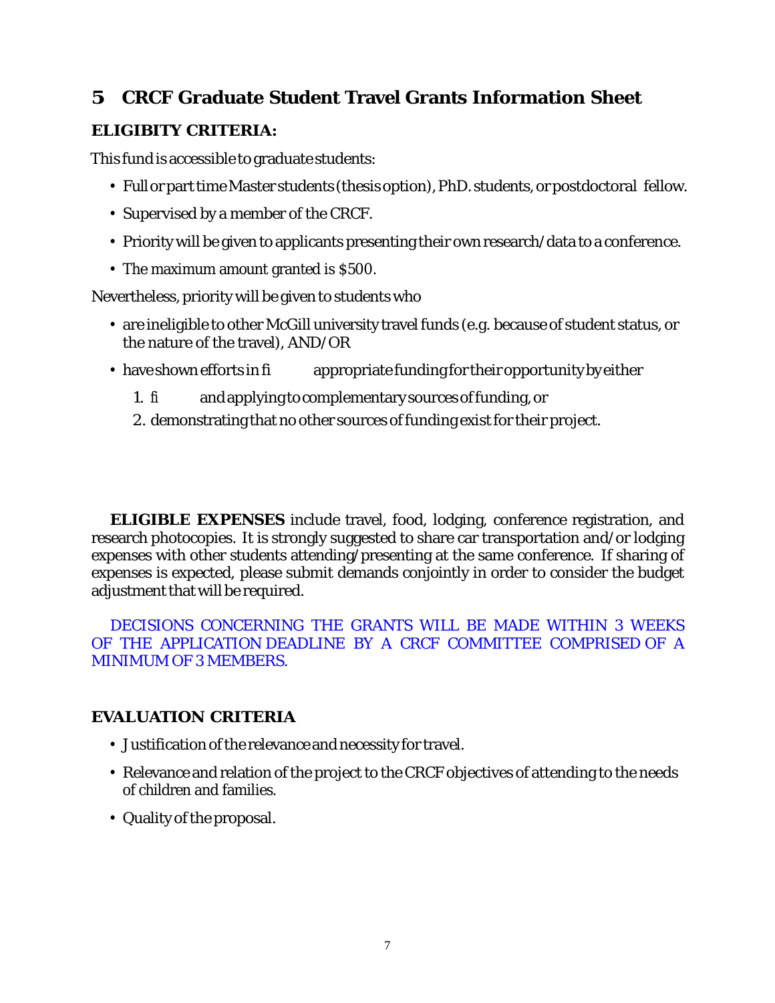## **5 CRCF Graduate Student Travel Grants Information Sheet**

## **ELIGIBITY CRITERIA:**

This fund is accessible to graduate students:

- Full or part time Master students (thesis option), PhD. students, or postdoctoral fellow.
- *•* Supervised by a member of the CRCF.
- *•* Priority will be given to applicants presenting their own research/data to a conference.
- *•* The maximum amount granted is \$500.

Nevertheless, priority will be given to students who

- *•* are ineligible to other McGill university travel funds (e.g. because of student status, or the nature of the travel), AND/OR
- have shown efforts in fi appropriate funding for their opportunity by either
	- 1. fi andapplyingtocomplementarysourcesoffunding,or
	- 2. demonstrating that no other sources of funding exist for their project.

**ELIGIBLE EXPENSES** include travel, food, lodging, conference registration, and research photocopies. It is strongly suggested to share car transportation and/or lodging expenses with other students attending/presenting at the same conference. If sharing of expenses is expected, please submit demands conjointly in order to consider the budget adjustment that will be required.

DECISIONS CONCERNING THE GRANTS WILL BE MADE WITHIN 3 WEEKS OF THE APPLICATION DEADLINE BY A CRCF COMMITTEE COMPRISED OF A MINIMUM OF 3 MEMBERS.

## **EVALUATION CRITERIA**

- Justification of the relevance and necessity for travel.
- *•* Relevance and relation of the project to the CRCF objectives of attending to the needs of children and families.
- Quality of the proposal.